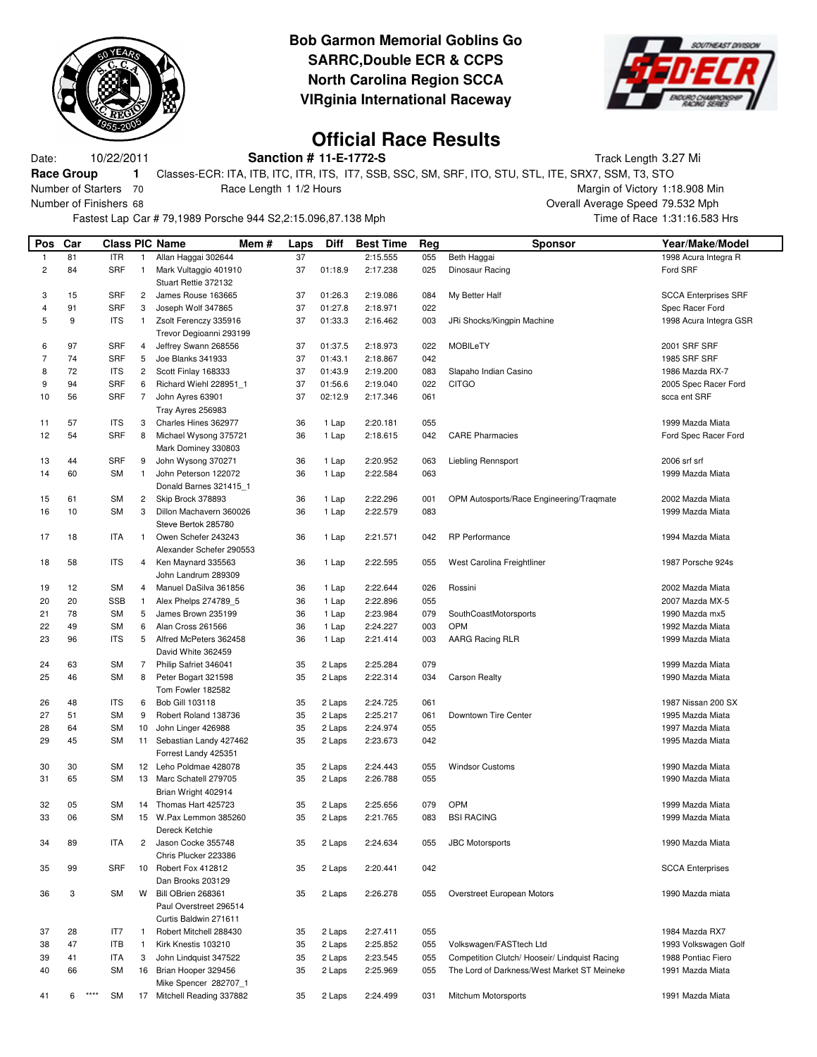

## **Bob Garmon Memorial Goblins Go SARRC,Double ECR & CCPS North Carolina Region SCCA VIRginia International Raceway**



## **Official Race Results**

Date: 10/22/2011 **Sanction # 11-E-1772-S** Track Length 3.27 Mi **Race Group 1** Classes-ECR: ITA, ITB, ITC, ITR, ITS, IT7, SSB, SSC, SM, SRF, ITO, STU, STL, ITE, SRX7, SSM, T3, STO Number of Starters 70 Race Length 1 1/2 Hours Margin of Victory 1:18.908 Min

Number of Finishers 68 Overall Average Speed 79.532 Mph

Fastest Lap Car # 79,1989 Porsche 944 S2,2:15.096,87.138 Mph Time of Race 1:31:16.583 Hrs

| Pos                     | Car      |                         |                | <b>Class PIC Name</b><br>Mem #              | Laps     | <b>Diff</b>    | <b>Best Time</b>     | Reg        | Sponsor                                       | Year/Make/Model                      |
|-------------------------|----------|-------------------------|----------------|---------------------------------------------|----------|----------------|----------------------|------------|-----------------------------------------------|--------------------------------------|
| $\mathbf{1}$            | 81       | <b>ITR</b>              | $\mathbf{1}$   | Allan Haggai 302644                         | 37       |                | 2:15.555             | 055        | Beth Haggai                                   | 1998 Acura Integra R                 |
| $\overline{\mathbf{c}}$ | 84       | <b>SRF</b>              | 1              | Mark Vultaggio 401910                       | 37       | 01:18.9        | 2:17.238             | 025        | Dinosaur Racing                               | Ford SRF                             |
|                         |          |                         |                | Stuart Rettie 372132                        |          |                |                      |            |                                               |                                      |
| 3                       | 15       | <b>SRF</b>              | $\overline{c}$ | James Rouse 163665                          | 37       | 01:26.3        | 2:19.086             | 084        | My Better Half                                | <b>SCCA Enterprises SRF</b>          |
| 4                       | 91       | <b>SRF</b>              | 3              | Joseph Wolf 347865                          | 37       | 01:27.8        | 2:18.971             | 022        |                                               | Spec Racer Ford                      |
| 5                       | 9        | <b>ITS</b>              | 1.             | Zsolt Ferenczy 335916                       | 37       | 01:33.3        | 2:16.462             | 003        | JRi Shocks/Kingpin Machine                    | 1998 Acura Integra GSR               |
|                         |          |                         |                | Trevor Degioanni 293199                     |          |                |                      |            |                                               |                                      |
| 6                       | 97       | <b>SRF</b>              | 4              | Jeffrey Swann 268556                        | 37       | 01:37.5        | 2:18.973             | 022        | <b>MOBILeTY</b>                               | 2001 SRF SRF                         |
| 7                       | 74       | <b>SRF</b>              | 5              | Joe Blanks 341933                           | 37       | 01:43.1        | 2:18.867             | 042        |                                               | 1985 SRF SRF                         |
| 8                       | 72       | <b>ITS</b>              | 2              | Scott Finlay 168333                         | 37       | 01:43.9        | 2:19.200             | 083        | Slapaho Indian Casino                         | 1986 Mazda RX-7                      |
| 9                       | 94       | SRF                     | 6<br>7         | Richard Wiehl 228951 1                      | 37<br>37 | 01:56.6        | 2:19.040             | 022        | <b>CITGO</b>                                  | 2005 Spec Racer Ford                 |
| 10                      | 56       | <b>SRF</b>              |                | John Ayres 63901<br>Tray Ayres 256983       |          | 02:12.9        | 2:17.346             | 061        |                                               | scca ent SRF                         |
| 11                      | 57       | <b>ITS</b>              | 3              | Charles Hines 362977                        | 36       | 1 Lap          | 2:20.181             | 055        |                                               | 1999 Mazda Miata                     |
| 12                      | 54       | SRF                     | 8              | Michael Wysong 375721                       | 36       | 1 Lap          | 2:18.615             | 042        | <b>CARE Pharmacies</b>                        | Ford Spec Racer Ford                 |
|                         |          |                         |                | Mark Dominey 330803                         |          |                |                      |            |                                               |                                      |
| 13                      | 44       | <b>SRF</b>              | 9              | John Wysong 370271                          | 36       | 1 Lap          | 2:20.952             | 063        | Liebling Rennsport                            | 2006 srf srf                         |
| 14                      | 60       | <b>SM</b>               | $\mathbf{1}$   | John Peterson 122072                        | 36       | 1 Lap          | 2:22.584             | 063        |                                               | 1999 Mazda Miata                     |
|                         |          |                         |                | Donald Barnes 321415 1                      |          |                |                      |            |                                               |                                      |
| 15                      | 61       | <b>SM</b>               | 2              | Skip Brock 378893                           | 36       | 1 Lap          | 2:22.296             | 001        | OPM Autosports/Race Engineering/Traqmate      | 2002 Mazda Miata                     |
| 16                      | 10       | SM                      | 3              | Dillon Machavern 360026                     | 36       | 1 Lap          | 2:22.579             | 083        |                                               | 1999 Mazda Miata                     |
|                         |          |                         |                | Steve Bertok 285780                         |          |                |                      |            |                                               |                                      |
| 17                      | 18       | <b>ITA</b>              | $\mathbf{1}$   | Owen Schefer 243243                         | 36       | 1 Lap          | 2:21.571             | 042        | RP Performance                                | 1994 Mazda Miata                     |
|                         |          |                         |                | Alexander Schefer 290553                    |          |                |                      |            |                                               |                                      |
| 18                      | 58       | <b>ITS</b>              | 4              | Ken Maynard 335563                          | 36       | 1 Lap          | 2:22.595             | 055        | West Carolina Freightliner                    | 1987 Porsche 924s                    |
|                         |          |                         |                | John Landrum 289309                         |          |                |                      |            |                                               |                                      |
| 19                      | 12       | <b>SM</b>               | 4              | Manuel DaSilva 361856                       | 36       | 1 Lap          | 2:22.644             | 026        | Rossini                                       | 2002 Mazda Miata                     |
| 20                      | 20       | <b>SSB</b>              | $\mathbf{1}$   | Alex Phelps 274789_5                        | 36       | 1 Lap          | 2:22.896             | 055        |                                               | 2007 Mazda MX-5                      |
| 21                      | 78       | <b>SM</b>               | 5<br>6         | James Brown 235199                          | 36       | 1 Lap          | 2:23.984             | 079        | SouthCoastMotorsports<br>OPM                  | 1990 Mazda mx5                       |
| 22<br>23                | 49<br>96 | <b>SM</b><br><b>ITS</b> | 5              | Alan Cross 261566<br>Alfred McPeters 362458 | 36<br>36 | 1 Lap<br>1 Lap | 2:24.227<br>2:21.414 | 003<br>003 | AARG Racing RLR                               | 1992 Mazda Miata<br>1999 Mazda Miata |
|                         |          |                         |                | David White 362459                          |          |                |                      |            |                                               |                                      |
| 24                      | 63       | SM                      | 7              | Philip Safriet 346041                       | 35       | 2 Laps         | 2:25.284             | 079        |                                               | 1999 Mazda Miata                     |
| 25                      | 46       | <b>SM</b>               | 8              | Peter Bogart 321598                         | 35       | 2 Laps         | 2:22.314             | 034        | <b>Carson Realty</b>                          | 1990 Mazda Miata                     |
|                         |          |                         |                | Tom Fowler 182582                           |          |                |                      |            |                                               |                                      |
| 26                      | 48       | <b>ITS</b>              | 6              | Bob Gill 103118                             | 35       | 2 Laps         | 2:24.725             | 061        |                                               | 1987 Nissan 200 SX                   |
| 27                      | 51       | <b>SM</b>               | 9              | Robert Roland 138736                        | 35       | 2 Laps         | 2:25.217             | 061        | Downtown Tire Center                          | 1995 Mazda Miata                     |
| 28                      | 64       | <b>SM</b>               | 10             | John Linger 426988                          | 35       | 2 Laps         | 2:24.974             | 055        |                                               | 1997 Mazda Miata                     |
| 29                      | 45       | SM                      |                | 11 Sebastian Landy 427462                   | 35       | 2 Laps         | 2:23.673             | 042        |                                               | 1995 Mazda Miata                     |
|                         |          |                         |                | Forrest Landy 425351                        |          |                |                      |            |                                               |                                      |
| 30                      | 30       | <b>SM</b>               |                | 12 Leho Poldmae 428078                      | 35       | 2 Laps         | 2:24.443             | 055        | <b>Windsor Customs</b>                        | 1990 Mazda Miata                     |
| 31                      | 65       | SM                      | 13             | Marc Schatell 279705                        | 35       | 2 Laps         | 2:26.788             | 055        |                                               | 1990 Mazda Miata                     |
|                         |          |                         |                | Brian Wright 402914                         |          |                |                      |            |                                               |                                      |
| 32                      | 05       | <b>SM</b>               | 14             | Thomas Hart 425723                          | 35       | 2 Laps         | 2:25.656             | 079        | <b>OPM</b>                                    | 1999 Mazda Miata                     |
| 33                      | 06       | SM                      | 15             | W.Pax Lemmon 385260                         | 35       | 2 Laps         | 2:21.765             | 083        | <b>BSI RACING</b>                             | 1999 Mazda Miata                     |
|                         |          |                         |                | Dereck Ketchie                              |          |                |                      |            |                                               |                                      |
| 34                      | 89       | ITA                     | 2              | Jason Cocke 355748<br>Chris Plucker 223386  | 35       | 2 Laps         | 2:24.634             | 055        | <b>JBC Motorsports</b>                        | 1990 Mazda Miata                     |
| 35                      | 99       | <b>SRF</b>              | 10             | Robert Fox 412812                           | 35       | 2 Laps         | 2:20.441             | 042        |                                               | <b>SCCA Enterprises</b>              |
|                         |          |                         |                | Dan Brooks 203129                           |          |                |                      |            |                                               |                                      |
| 36                      | 3        | <b>SM</b>               | w              | Bill OBrien 268361                          | 35       | 2 Laps         | 2:26.278             | 055        | Overstreet European Motors                    | 1990 Mazda miata                     |
|                         |          |                         |                | Paul Overstreet 296514                      |          |                |                      |            |                                               |                                      |
|                         |          |                         |                | Curtis Baldwin 271611                       |          |                |                      |            |                                               |                                      |
| 37                      | 28       | IT7                     | 1              | Robert Mitchell 288430                      | 35       | 2 Laps         | 2:27.411             | 055        |                                               | 1984 Mazda RX7                       |
| 38                      | 47       | <b>ITB</b>              | $\mathbf{1}$   | Kirk Knestis 103210                         | 35       | 2 Laps         | 2:25.852             | 055        | Volkswagen/FASTtech Ltd                       | 1993 Volkswagen Golf                 |
| 39                      | 41       | ITA                     | 3              | John Lindquist 347522                       | 35       | 2 Laps         | 2:23.545             | 055        | Competition Clutch/ Hooseir/ Lindquist Racing | 1988 Pontiac Fiero                   |
| 40                      | 66       | SM                      | 16             | Brian Hooper 329456                         | 35       | 2 Laps         | 2:25.969             | 055        | The Lord of Darkness/West Market ST Meineke   | 1991 Mazda Miata                     |
|                         |          |                         |                | Mike Spencer 282707_1                       |          |                |                      |            |                                               |                                      |
| 41                      | 6        | ****<br><b>SM</b>       |                | 17 Mitchell Reading 337882                  | 35       | 2 Laps         | 2:24.499             | 031        | Mitchum Motorsports                           | 1991 Mazda Miata                     |